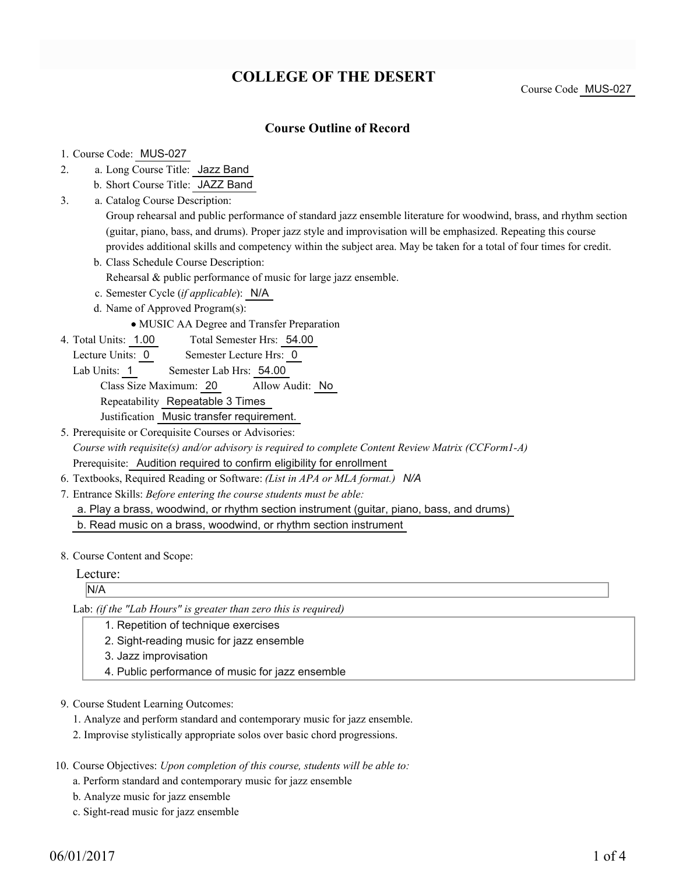# **COLLEGE OF THE DESERT**

Course Code MUS-027

### **Course Outline of Record**

#### 1. Course Code: MUS-027

- a. Long Course Title: Jazz Band 2.
	- b. Short Course Title: JAZZ Band
- Catalog Course Description: a. 3.

Group rehearsal and public performance of standard jazz ensemble literature for woodwind, brass, and rhythm section (guitar, piano, bass, and drums). Proper jazz style and improvisation will be emphasized. Repeating this course provides additional skills and competency within the subject area. May be taken for a total of four times for credit.

b. Class Schedule Course Description:

Rehearsal & public performance of music for large jazz ensemble.

- c. Semester Cycle (*if applicable*): N/A
- d. Name of Approved Program(s):
	- MUSIC AA Degree and Transfer Preparation
- Total Semester Hrs: 54.00 4. Total Units: 1.00
	- Lecture Units: 0 Semester Lecture Hrs: 0
	- Lab Units: 1 Semester Lab Hrs: 54.00

Class Size Maximum: 20 Allow Audit: No Repeatability Repeatable 3 Times

Justification Music transfer requirement.

- 5. Prerequisite or Corequisite Courses or Advisories: *Course with requisite(s) and/or advisory is required to complete Content Review Matrix (CCForm1-A)* Prerequisite: Audition required to confirm eligibility for enrollment
- 6. Textbooks, Required Reading or Software: *(List in APA or MLA format.) N/A*
- Entrance Skills: *Before entering the course students must be able:* 7.

a. Play a brass, woodwind, or rhythm section instrument (guitar, piano, bass, and drums)

b. Read music on a brass, woodwind, or rhythm section instrument

8. Course Content and Scope:

Lecture:

N/A

Lab: *(if the "Lab Hours" is greater than zero this is required)*

- 1. Repetition of technique exercises
- 2. Sight-reading music for jazz ensemble
- 3. Jazz improvisation
- 4. Public performance of music for jazz ensemble
- 9. Course Student Learning Outcomes:
	- 1. Analyze and perform standard and contemporary music for jazz ensemble.
	- 2. Improvise stylistically appropriate solos over basic chord progressions.
- 10. Course Objectives: Upon completion of this course, students will be able to:
	- a. Perform standard and contemporary music for jazz ensemble
	- b. Analyze music for jazz ensemble
	- c. Sight-read music for jazz ensemble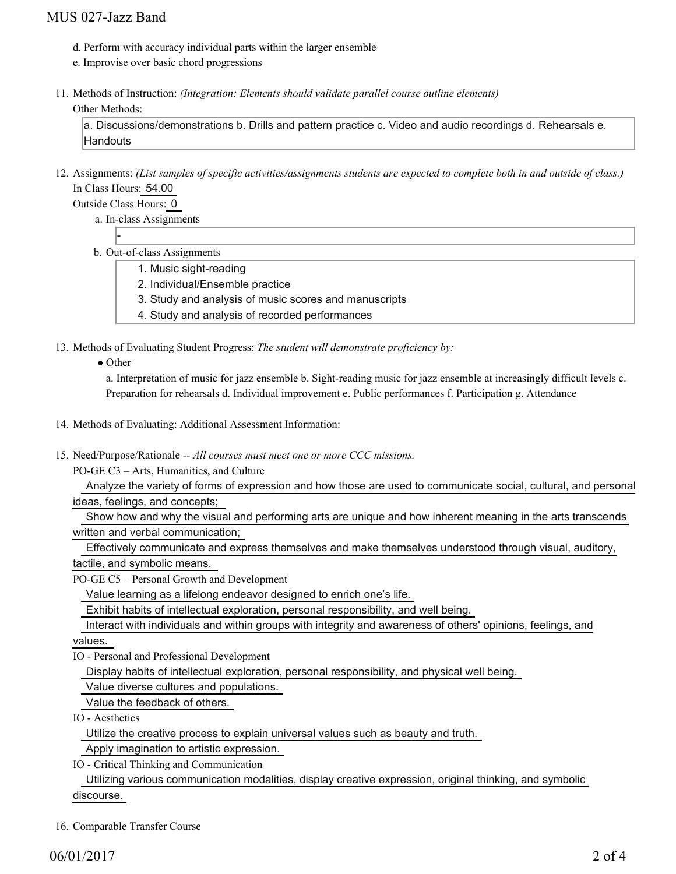### MUS 027-Jazz Band

- d. Perform with accuracy individual parts within the larger ensemble
- e. Improvise over basic chord progressions
- 11. Methods of Instruction: *(Integration: Elements should validate parallel course outline elements)*

#### Other Methods:

a. Discussions/demonstrations b. Drills and pattern practice c. Video and audio recordings d. Rehearsals e. Handouts

12. Assignments: (List samples of specific activities/assignments students are expected to complete both in and outside of class.) In Class Hours: 54.00

Outside Class Hours: 0

-

- a. In-class Assignments
- b. Out-of-class Assignments
	- 1. Music sight-reading
	- 2. Individual/Ensemble practice
	- 3. Study and analysis of music scores and manuscripts
	- 4. Study and analysis of recorded performances

13. Methods of Evaluating Student Progress: The student will demonstrate proficiency by:

• Other

a. Interpretation of music for jazz ensemble b. Sight-reading music for jazz ensemble at increasingly difficult levels c. Preparation for rehearsals d. Individual improvement e. Public performances f. Participation g. Attendance

- 14. Methods of Evaluating: Additional Assessment Information:
- 15. Need/Purpose/Rationale -- All courses must meet one or more CCC missions.

PO-GE C3 – Arts, Humanities, and Culture

 Analyze the variety of forms of expression and how those are used to communicate social, cultural, and personal ideas, feelings, and concepts;

 Show how and why the visual and performing arts are unique and how inherent meaning in the arts transcends written and verbal communication;

 Effectively communicate and express themselves and make themselves understood through visual, auditory, tactile, and symbolic means.

PO-GE C5 – Personal Growth and Development

Value learning as a lifelong endeavor designed to enrich one's life.

Exhibit habits of intellectual exploration, personal responsibility, and well being.

Interact with individuals and within groups with integrity and awareness of others' opinions, feelings, and

values.

IO - Personal and Professional Development

Display habits of intellectual exploration, personal responsibility, and physical well being.

Value diverse cultures and populations.

Value the feedback of others.

IO - Aesthetics

Utilize the creative process to explain universal values such as beauty and truth.

Apply imagination to artistic expression.

IO - Critical Thinking and Communication

 Utilizing various communication modalities, display creative expression, original thinking, and symbolic discourse.

16. Comparable Transfer Course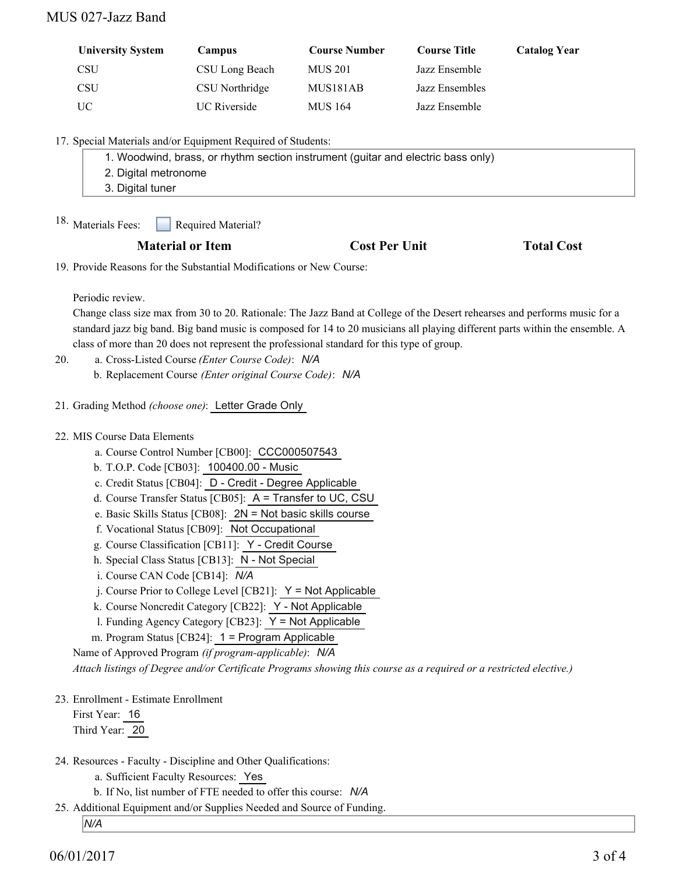### MUS 027-Jazz Band

| <b>University System</b> | Campus              | <b>Course Number</b> | <b>Course Title</b> | <b>Catalog Year</b> |
|--------------------------|---------------------|----------------------|---------------------|---------------------|
| CSU                      | CSU Long Beach      | MUS 201              | Jazz Ensemble       |                     |
| CSU                      | CSU Northridge      | MUS181AB             | Jazz Ensembles      |                     |
| UC                       | <b>UC</b> Riverside | <b>MUS 164</b>       | Jazz Ensemble       |                     |

17. Special Materials and/or Equipment Required of Students:

| 1. Woodwind, brass, or rhythm section instrument (guitar and electric bass only) |  |  |
|----------------------------------------------------------------------------------|--|--|
| 2. Digital metronome                                                             |  |  |
| 3. Digital tuner                                                                 |  |  |

Required Material? 18. Materials Fees:

#### **Material or Item Cost Per Unit Total Cost Per Unit Total Cost**

19. Provide Reasons for the Substantial Modifications or New Course:

Periodic review.

Change class size max from 30 to 20. Rationale: The Jazz Band at College of the Desert rehearses and performs music for a standard jazz big band. Big band music is composed for 14 to 20 musicians all playing different parts within the ensemble. A class of more than 20 does not represent the professional standard for this type of group.

- a. Cross-Listed Course *(Enter Course Code)*: *N/A* 20.
	- b. Replacement Course *(Enter original Course Code)*: *N/A*
- 21. Grading Method *(choose one)*: Letter Grade Only
- MIS Course Data Elements 22.
	- a. Course Control Number [CB00]: CCC000507543
	- b. T.O.P. Code [CB03]: 100400.00 Music
	- c. Credit Status [CB04]: D Credit Degree Applicable
	- d. Course Transfer Status [CB05]: A = Transfer to UC, CSU
	- e. Basic Skills Status [CB08]: 2N = Not basic skills course
	- f. Vocational Status [CB09]: Not Occupational
	- g. Course Classification [CB11]: Y Credit Course
	- h. Special Class Status [CB13]: N Not Special
	- i. Course CAN Code [CB14]: *N/A*
	- $i$ . Course Prior to College Level [CB21]:  $Y = Not$  Applicable
	- k. Course Noncredit Category [CB22]: Y Not Applicable
	- l. Funding Agency Category [CB23]: Y = Not Applicable
	- m. Program Status [CB24]: 1 = Program Applicable
	- Name of Approved Program *(if program-applicable)*: *N/A*

*Attach listings of Degree and/or Certificate Programs showing this course as a required or a restricted elective.)*

23. Enrollment - Estimate Enrollment

First Year: 16 Third Year: 20

- 24. Resources Faculty Discipline and Other Qualifications:
	- a. Sufficient Faculty Resources: Yes
	- b. If No, list number of FTE needed to offer this course: *N/A*
- 25. Additional Equipment and/or Supplies Needed and Source of Funding.

*N/A*